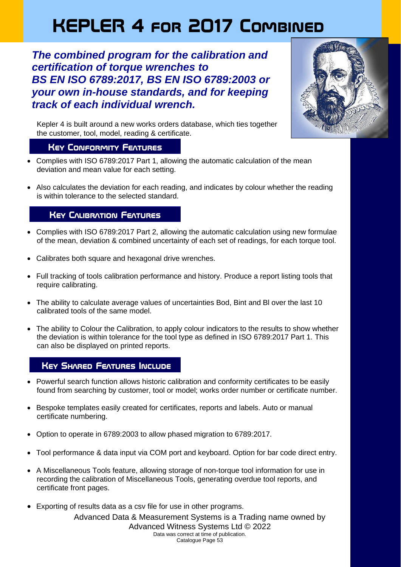# **KEPLER 4 for 2017 Combined**

*The combined program for the calibration and certification of torque wrenches to BS EN ISO 6789:2017, BS EN ISO 6789:2003 or your own in-house standards, and for keeping track of each individual wrench.* 



Kepler 4 is built around a new works orders database, which ties together the customer, tool, model, reading & certificate.

#### **Key Conformity Features**

- Complies with ISO 6789:2017 Part 1, allowing the automatic calculation of the mean deviation and mean value for each setting.
- Also calculates the deviation for each reading, and indicates by colour whether the reading is within tolerance to the selected standard.

## **Key Calibration Features**

- Complies with ISO 6789:2017 Part 2, allowing the automatic calculation using new formulae of the mean, deviation & combined uncertainty of each set of readings, for each torque tool.
- Calibrates both square and hexagonal drive wrenches.
- Full tracking of tools calibration performance and history. Produce a report listing tools that require calibrating.
- The ability to calculate average values of uncertainties Bod, Bint and Bl over the last 10 calibrated tools of the same model.
- The ability to Colour the Calibration, to apply colour indicators to the results to show whether the deviation is within tolerance for the tool type as defined in ISO 6789:2017 Part 1. This can also be displayed on printed reports.

## **Key Shared Features Include**

- Powerful search function allows historic calibration and conformity certificates to be easily found from searching by customer, tool or model; works order number or certificate number.
- Bespoke templates easily created for certificates, reports and labels. Auto or manual certificate numbering.
- Option to operate in 6789:2003 to allow phased migration to 6789:2017.
- Tool performance & data input via COM port and keyboard. Option for bar code direct entry.
- A Miscellaneous Tools feature, allowing storage of non-torque tool information for use in recording the calibration of Miscellaneous Tools, generating overdue tool reports, and certificate front pages.
- Advanced Data & Measurement Systems is a Trading name owned by • Exporting of results data as a csv file for use in other programs.

Advanced Witness Systems Ltd © 2022

Data was correct at time of publication. Catalogue Page 53